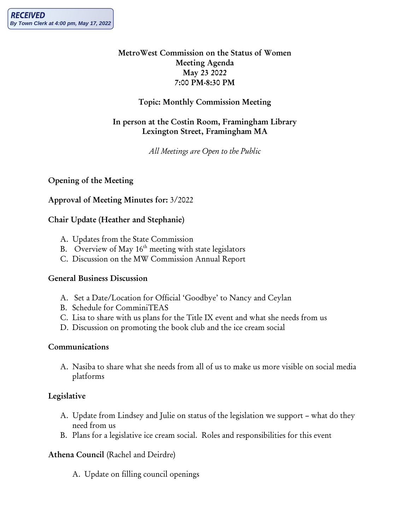### MetroWest Commission on the Status of Women Meeting Agenda May 23 2022 7:00 PM-8:30 PM

### Topic: Monthly Commission Meeting

### In person at the Costin Room, Framingham Library Lexington Street, Framingham MA

*All Meetings are Open to the Public*

# Opening of the Meeting

### Approval of Meeting Minutes for: 3/2022

### Chair Update (Heather and Stephanie)

- A. Updates from the State Commission
- B. Overview of May  $16<sup>th</sup>$  meeting with state legislators
- C. Discussion on the MW Commission Annual Report

### General Business Discussion

- A. Set a Date/Location for Official 'Goodbye' to Nancy and Ceylan
- B. Schedule for ComminiTEAS
- C. Lisa to share with us plans for the Title IX event and what she needs from us
- D. Discussion on promoting the book club and the ice cream social

### Communications

A. Nasiba to share what she needs from all of us to make us more visible on social media platforms

# Legislative

- A. Update from Lindsey and Julie on status of the legislation we support what do they need from us
- B. Plans for a legislative ice cream social. Roles and responsibilities for this event

# Athena Council (Rachel and Deirdre)

A. Update on filling council openings